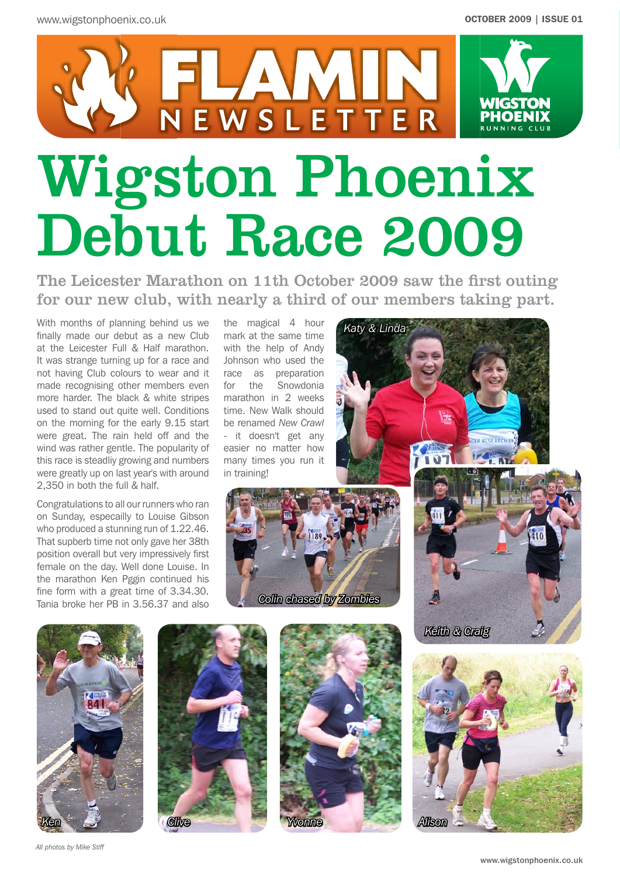

The Leicester Marathon on 11th October 2009 saw the first outing for our new club, with nearly a third of our members taking part.

*Katy & Linda*

With months of planning behind us we finally made our debut as a new Club at the Leicester Full & Half marathon. It was strange turning up for a race and not having Club colours to wear and it race as preparation made recognising other members even more harder. The black & white stripes used to stand out quite well. Conditions on the morning for the early 9.15 start were great. The rain held off and the wind was rather gentle. The popularity of this race is steadliy growing and numbers were greatly up on last year's with around 2,350 in both the full & half.

Congratulations to all our runners who ran on Sunday, especailly to Louise Gibson who produced a stunning run of 1.22.46. That supberb time not only gave her 38th position overall but very impressively first female on the day. Well done Louise. In the marathon Ken Pggin continued his fine form with a great time of 3.34.30. Tania broke her PB in 3.56.37 and also

the magical 4 hour mark at the same time with the help of Andy Johnson who used the for the Snowdonia marathon in 2 weeks time. New Walk should be renamed *New Crawl* - it doesn't get any easier no matter how many times you run it in training!











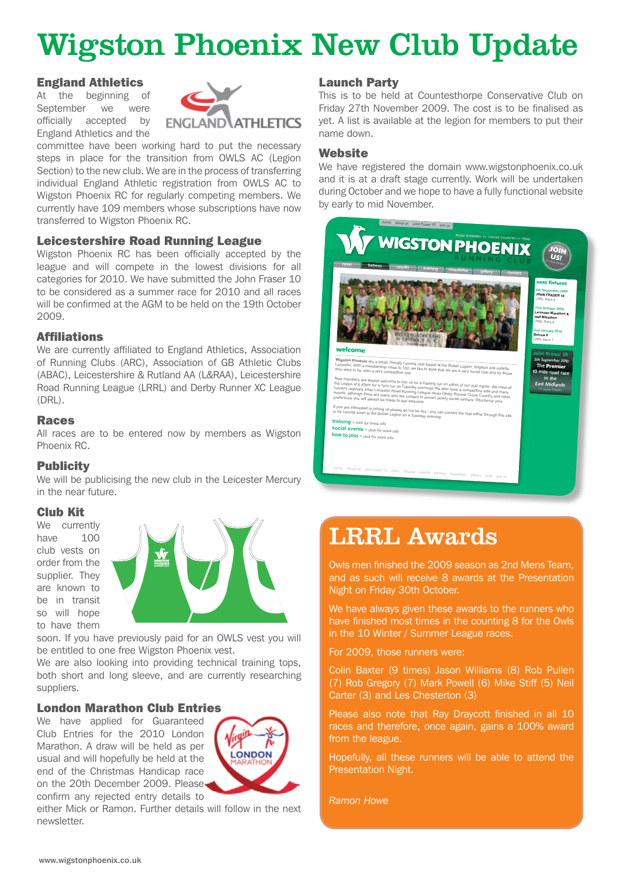# Wigston Phoenix New Club Update

#### England Athletics

At the beginning of September we were officially accepted by England Athletics and the



committee have been working hard to put the necessary steps in place for the transition from OWLS AC (Legion Section) to the new club. We are in the process of transferring individual England Athletic registration from OWLS AC to Wigston Phoenix RC for regularly competing members. We currently have 109 members whose subscriptions have now transferred to Wigston Phoenix RC.

#### Leicestershire Road Running League

Wigston Phoenix RC has been officially accepted by the league and will compete in the lowest divisions for all categories for 2010. We have submitted the John Fraser 10 to be considered as a summer race for 2010 and all races will be confirmed at the AGM to be held on the 19th October 2009.

#### Affiliations

We are currently affiliated to England Athletics, Association of Running Clubs (ARC), Association of GB Athletic Clubs (ABAC), Leicestershire & Rutland AA (L&RAA), Leicestershire Road Running League (LRRL) and Derby Runner XC League (DRL).

#### Races

All races are to be entered now by members as Wigston Phoenix RC.

#### **Publicity**

We will be publicising the new club in the Leicester Mercury in the near future.

#### Club Kit

We currently have 100 club vests on order from the supplier. They are known to be in transit so will hope to have them



soon. If you have previously paid for an OWLS vest you will be entitled to one free Wigston Phoenix vest.

We are also looking into providing technical training tops, both short and long sleeve, and are currently researching suppliers.

#### London Marathon Club Entries

We have applied for Guaranteed Club Entries for the 2010 London Marathon. A draw will be held as per usual and will hopefully be held at the end of the Christmas Handicap race on the 20th December 2009. Please confirm any rejected entry details to



either Mick or Ramon. Further details will follow in the next newsletter.

#### Launch Party

This is to be held at Countesthorpe Conservative Club on Friday 27th November 2009. The cost is to be finalised as yet. A list is available at the legion for members to put their name down.

#### **Website**

We have registered the domain www.wigstonphoenix.co.uk and it is at a draft stage currently. Work will be undertaken and the area and we hope to have a fully functional website<br>during October and we hope to have a fully functional website by early to mid November.



### LRRL Awards

Owls men finished the 2009 season as 2nd Mens Team, and as such will receive 8 awards at the Presentation Night on Friday 30th October.

We have always given these awards to the runners who have finished most times in the counting 8 for the Owls in the 10 Winter / Summer League races.

For 2009, those runners were:

Colin Baxter (9 times) Jason Williams (8) Rob Pullen (7) Rob Gregory (7) Mark Powell (6) Mike Stiff (5) Neil Carter (3) and Les Chesterton (3)

Please also note that Ray Draycott finished in all 10 races and therefore, once again, gains a 100% award from the league.

Hopefully, all these runners will be able to attend the Presentation Night.

*Ramon Howe*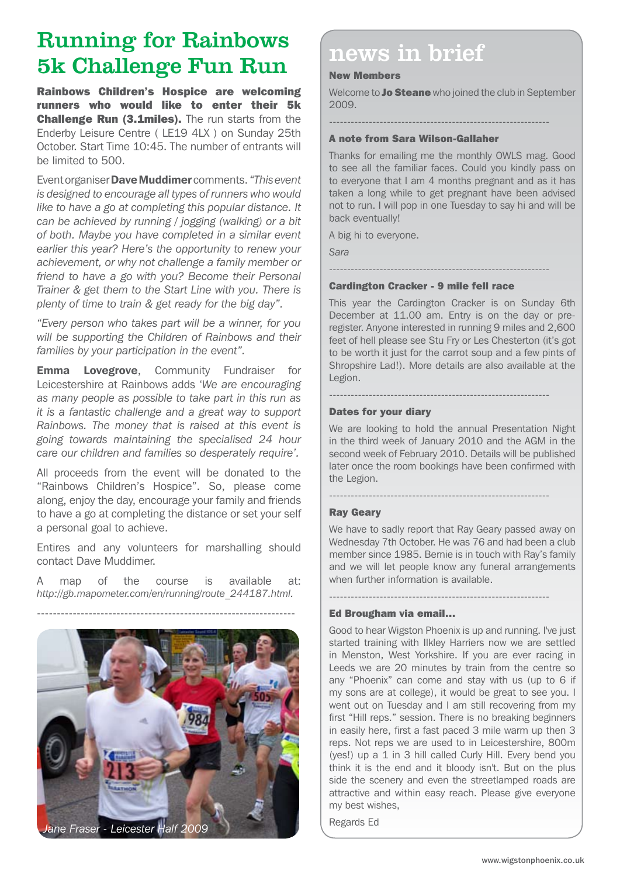## Running for Rainbows 5k Challenge Fun Run news in brief

Rainbows Children's Hospice are welcoming runners who would like to enter their 5k **Challenge Run (3.1miles).** The run starts from the Enderby Leisure Centre ( LE19 4LX ) on Sunday 25th October. Start Time 10:45. The number of entrants will be limited to 500.

EventorganiserDave Muddimer comments. *"This event is designed to encourage all types of runners who would like to have a go at completing this popular distance. It can be achieved by running / jogging (walking) or a bit of both. Maybe you have completed in a similar event earlier this year? Here's the opportunity to renew your achievement, or why not challenge a family member or friend to have a go with you? Become their Personal Trainer & get them to the Start Line with you. There is plenty of time to train & get ready for the big day".*

*"Every person who takes part will be a winner, for you will be supporting the Children of Rainbows and their families by your participation in the event".*

**Emma Lovegrove,** Community Fundraiser for Leicestershire at Rainbows adds '*We are encouraging as many people as possible to take part in this run as it is a fantastic challenge and a great way to support Rainbows. The money that is raised at this event is going towards maintaining the specialised 24 hour care our children and families so desperately require'.*

All proceeds from the event will be donated to the "Rainbows Children's Hospice". So, please come along, enjoy the day, encourage your family and friends to have a go at completing the distance or set your self a personal goal to achieve.

Entires and any volunteers for marshalling should contact Dave Muddimer.

A map of the course is available at: *http://gb.mapometer.com/en/running/route\_244187.html.*

-----------------------------------------------------------------



*Jane Fraser - Leicester Half 2009*

#### New Members

Welcome to **Jo Steane** who joined the club in September 2009.

-------------------------------------------------------------

#### A note from Sara Wilson-Gallaher

Thanks for emailing me the monthly OWLS mag. Good to see all the familiar faces. Could you kindly pass on to everyone that I am 4 months pregnant and as it has taken a long while to get pregnant have been advised not to run. I will pop in one Tuesday to say hi and will be back eventually!

A big hi to everyone.

*Sara*

#### ------------------------------------------------------------- Cardington Cracker - 9 mile fell race

This year the Cardington Cracker is on Sunday 6th December at 11.00 am. Entry is on the day or preregister. Anyone interested in running 9 miles and 2,600 feet of hell please see Stu Fry or Les Chesterton (it's got to be worth it just for the carrot soup and a few pints of Shropshire Lad!). More details are also available at the Legion.

-------------------------------------------------------------

-------------------------------------------------------------

-------------------------------------------------------------

#### Dates for your diary

We are looking to hold the annual Presentation Night in the third week of January 2010 and the AGM in the second week of February 2010. Details will be published later once the room bookings have been confirmed with the Legion.

#### Ray Geary

We have to sadly report that Ray Geary passed away on Wednesday 7th October. He was 76 and had been a club member since 1985. Bernie is in touch with Ray's family and we will let people know any funeral arrangements when further information is available.

#### Ed Brougham via email…

Good to hear Wigston Phoenix is up and running. I've just started training with Ilkley Harriers now we are settled in Menston, West Yorkshire. If you are ever racing in Leeds we are 20 minutes by train from the centre so any "Phoenix" can come and stay with us (up to 6 if my sons are at college), it would be great to see you. I went out on Tuesday and I am still recovering from my first "Hill reps." session. There is no breaking beginners in easily here, first a fast paced 3 mile warm up then 3 reps. Not reps we are used to in Leicestershire, 800m (yes!) up a 1 in 3 hill called Curly Hill. Every bend you think it is the end and it bloody isn't. But on the plus side the scenery and even the streetlamped roads are attractive and within easy reach. Please give everyone my best wishes,

Regards Ed